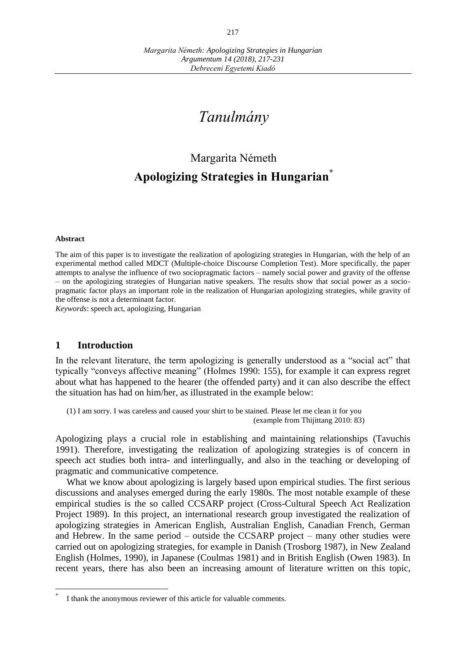# *Tanulmány*

# Margarita Németh **Apologizing Strategies in Hungarian\***

#### **Abstract**

 $\overline{a}$ 

The aim of this paper is to investigate the realization of apologizing strategies in Hungarian, with the help of an experimental method called MDCT (Multiple-choice Discourse Completion Test). More specifically, the paper attempts to analyse the influence of two sociopragmatic factors – namely social power and gravity of the offense – on the apologizing strategies of Hungarian native speakers. The results show that social power as a sociopragmatic factor plays an important role in the realization of Hungarian apologizing strategies, while gravity of the offense is not a determinant factor.

*Keywords*: speech act, apologizing, Hungarian

# **1 Introduction**

In the relevant literature, the term apologizing is generally understood as a "social act" that typically "conveys affective meaning" (Holmes 1990: 155), for example it can express regret about what has happened to the hearer (the offended party) and it can also describe the effect the situation has had on him/her, as illustrated in the example below:

(1) I am sorry. I was careless and caused your shirt to be stained. Please let me clean it for you (example from Thijittang 2010: 83)

Apologizing plays a crucial role in establishing and maintaining relationships (Tavuchis 1991). Therefore, investigating the realization of apologizing strategies is of concern in speech act studies both intra- and interlingually, and also in the teaching or developing of pragmatic and communicative competence.

What we know about apologizing is largely based upon empirical studies. The first serious discussions and analyses emerged during the early 1980s. The most notable example of these empirical studies is the so called CCSARP project (Cross-Cultural Speech Act Realization Project 1989). In this project, an international research group investigated the realization of apologizing strategies in American English, Australian English, Canadian French, German and Hebrew. In the same period – outside the CCSARP project – many other studies were carried out on apologizing strategies, for example in Danish (Trosborg 1987), in New Zealand English (Holmes, 1990), in Japanese (Coulmas 1981) and in British English (Owen 1983). In recent years, there has also been an increasing amount of literature written on this topic,

<sup>\*</sup> I thank the anonymous reviewer of this article for valuable comments.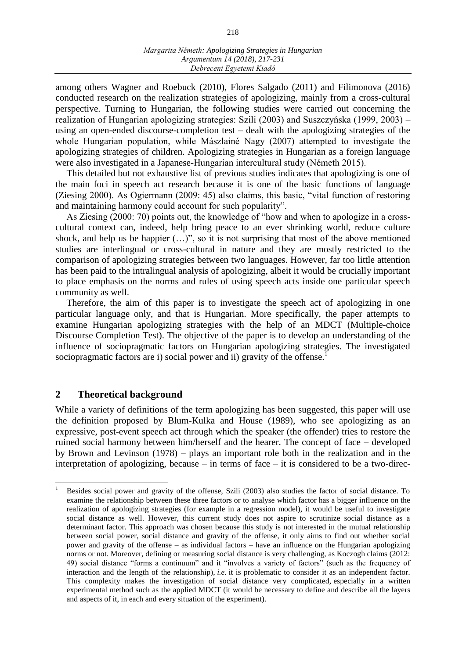among others Wagner and Roebuck (2010), Flores Salgado (2011) and Filimonova (2016) conducted research on the realization strategies of apologizing, mainly from a cross-cultural perspective. Turning to Hungarian, the following studies were carried out concerning the realization of Hungarian apologizing strategies: Szili (2003) and Suszczyńska (1999, 2003) – using an open-ended discourse-completion test – dealt with the apologizing strategies of the whole Hungarian population, while Mászlainé Nagy (2007) attempted to investigate the apologizing strategies of children. Apologizing strategies in Hungarian as a foreign language were also investigated in a Japanese-Hungarian intercultural study (Németh 2015).

This detailed but not exhaustive list of previous studies indicates that apologizing is one of the main foci in speech act research because it is one of the basic functions of language (Ziesing 2000). As Ogiermann (2009: 45) also claims, this basic, "vital function of restoring and maintaining harmony could account for such popularity".

As Ziesing (2000: 70) points out, the knowledge of "how and when to apologize in a crosscultural context can, indeed, help bring peace to an ever shrinking world, reduce culture shock, and help us be happier  $(...)$ ", so it is not surprising that most of the above mentioned studies are interlingual or cross-cultural in nature and they are mostly restricted to the comparison of apologizing strategies between two languages. However, far too little attention has been paid to the intralingual analysis of apologizing, albeit it would be crucially important to place emphasis on the norms and rules of using speech acts inside one particular speech community as well.

Therefore, the aim of this paper is to investigate the speech act of apologizing in one particular language only, and that is Hungarian. More specifically, the paper attempts to examine Hungarian apologizing strategies with the help of an MDCT (Multiple-choice Discourse Completion Test). The objective of the paper is to develop an understanding of the influence of sociopragmatic factors on Hungarian apologizing strategies. The investigated sociopragmatic factors are i) social power and ii) gravity of the offense.<sup>1</sup>

# **2 Theoretical background**

 $\overline{a}$ 

While a variety of definitions of the term apologizing has been suggested, this paper will use the definition proposed by Blum-Kulka and House (1989), who see apologizing as an expressive, post-event speech act through which the speaker (the offender) tries to restore the ruined social harmony between him/herself and the hearer. The concept of face – developed by Brown and Levinson (1978) – plays an important role both in the realization and in the interpretation of apologizing, because  $-$  in terms of face  $-$  it is considered to be a two-direc-

<sup>1</sup> Besides social power and gravity of the offense, Szili (2003) also studies the factor of social distance. To examine the relationship between these three factors or to analyse which factor has a bigger influence on the realization of apologizing strategies (for example in a regression model), it would be useful to investigate social distance as well. However, this current study does not aspire to scrutinize social distance as a determinant factor. This approach was chosen because this study is not interested in the mutual relationship between social power, social distance and gravity of the offense, it only aims to find out whether social power and gravity of the offense – as individual factors – have an influence on the Hungarian apologizing norms or not. Moreover, defining or measuring social distance is very challenging, as Koczogh claims (2012: 49) social distance "forms a continuum" and it "involves a variety of factors" (such as the frequency of interaction and the length of the relationship), *i.e.* it is problematic to consider it as an independent factor. This complexity makes the investigation of social distance very complicated, especially in a written experimental method such as the applied MDCT (it would be necessary to define and describe all the layers and aspects of it, in each and every situation of the experiment).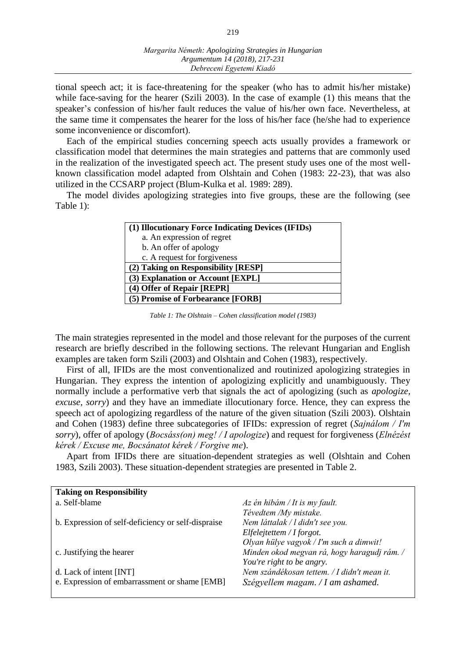tional speech act; it is face-threatening for the speaker (who has to admit his/her mistake) while face-saving for the hearer (Szili 2003). In the case of example (1) this means that the speaker's confession of his/her fault reduces the value of his/her own face. Nevertheless, at the same time it compensates the hearer for the loss of his/her face (he/she had to experience some inconvenience or discomfort).

Each of the empirical studies concerning speech acts usually provides a framework or classification model that determines the main strategies and patterns that are commonly used in the realization of the investigated speech act. The present study uses one of the most wellknown classification model adapted from Olshtain and Cohen (1983: 22-23), that was also utilized in the CCSARP project (Blum-Kulka et al. 1989: 289).

The model divides apologizing strategies into five groups, these are the following (see Table 1):

| (1) Illocutionary Force Indicating Devices (IFIDs) |  |
|----------------------------------------------------|--|
| a. An expression of regret                         |  |
| b. An offer of apology                             |  |
| c. A request for forgiveness                       |  |
| (2) Taking on Responsibility [RESP]                |  |
| (3) Explanation or Account [EXPL]                  |  |
| (4) Offer of Repair [REPR]                         |  |
| (5) Promise of Forbearance [FORB]                  |  |

*Table 1: The Olshtain – Cohen classification model (1983)*

The main strategies represented in the model and those relevant for the purposes of the current research are briefly described in the following sections. The relevant Hungarian and English examples are taken form Szili (2003) and Olshtain and Cohen (1983), respectively.

First of all, IFIDs are the most conventionalized and routinized apologizing strategies in Hungarian. They express the intention of apologizing explicitly and unambiguously. They normally include a performative verb that signals the act of apologizing (such as *apologize, excuse, sorry*) and they have an immediate illocutionary force. Hence, they can express the speech act of apologizing regardless of the nature of the given situation (Szili 2003). Olshtain and Cohen (1983) define three subcategories of IFIDs: expression of regret (*Sajnálom / I'm sorry*), offer of apology (*Bocsáss(on) meg! / I apologize*) and request for forgiveness (*Elnézést kérek / Excuse me, Bocsánatot kérek / Forgive me*).

Apart from IFIDs there are situation-dependent strategies as well (Olshtain and Cohen 1983, Szili 2003). These situation-dependent strategies are presented in Table 2.

| <b>Taking on Responsibility</b>                    |                                             |
|----------------------------------------------------|---------------------------------------------|
| a. Self-blame                                      | $Az$ én hibám / It is my fault.             |
|                                                    | Tévedtem /My mistake.                       |
| b. Expression of self-deficiency or self-dispraise | Nem láttalak / l didn't see you.            |
|                                                    | Elfelejtettem / If orgot.                   |
|                                                    | Olyan hülye vagyok / I'm such a dimwit!     |
| c. Justifying the hearer                           | Minden okod megvan rá, hogy haragudj rám. / |
|                                                    | You're right to be angry.                   |
| d. Lack of intent [INT]                            | Nem szándékosan tettem. / I didn't mean it. |
| e. Expression of embarrassment or shame [EMB]      | Szégyellem magam. / I am ashamed.           |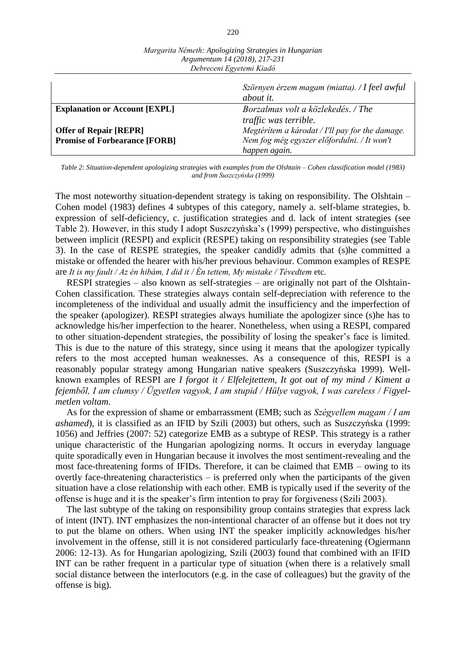| $E$ corrective $E_{\mathbf{X}}$ retention interaction |                                                            |  |
|-------------------------------------------------------|------------------------------------------------------------|--|
|                                                       | Szörnyen érzem magam (miatta). / I feel awful<br>about it. |  |
| <b>Explanation or Account [EXPL]</b>                  | Borzalmas volt a közlekedés. / The                         |  |
|                                                       | <i>traffic</i> was <i>terrible</i> .                       |  |
| <b>Offer of Repair [REPR]</b>                         | Megtéritem a károdat / I'll pay for the damage.            |  |
| <b>Promise of Forbearance [FORB]</b>                  | Nem fog még egyszer előfordulni. / It won't                |  |
|                                                       | happen again.                                              |  |

*Margarita Németh: Apologizing Strategies in Hungarian Argumentum 14 (2018), 217-231 Debreceni Egyetemi Kiadó*

*Table 2: Situation-dependent apologizing strategies with examples from the Olshtain – Cohen classification model (1983) and from Suszczyńska (1999)*

The most noteworthy situation-dependent strategy is taking on responsibility. The Olshtain – Cohen model (1983) defines 4 subtypes of this category, namely a. self-blame strategies, b. expression of self-deficiency, c. justification strategies and d. lack of intent strategies (see Table 2). However, in this study I adopt Suszczyńska's (1999) perspective, who distinguishes between implicit (RESPI) and explicit (RESPE) taking on responsibility strategies (see Table 3). In the case of RESPE strategies, the speaker candidly admits that (s)he committed a mistake or offended the hearer with his/her previous behaviour. Common examples of RESPE are *It is my fault / Az én hibám, I did it / Én tettem, My mistake / Tévedtem* etc*.* 

RESPI strategies – also known as self-strategies – are originally not part of the Olshtain-Cohen classification. These strategies always contain self-depreciation with reference to the incompleteness of the individual and usually admit the insufficiency and the imperfection of the speaker (apologizer). RESPI strategies always humiliate the apologizer since (s)he has to acknowledge his/her imperfection to the hearer. Nonetheless, when using a RESPI, compared to other situation-dependent strategies, the possibility of losing the speaker's face is limited. This is due to the nature of this strategy, since using it means that the apologizer typically refers to the most accepted human weaknesses. As a consequence of this, RESPI is a reasonably popular strategy among Hungarian native speakers (Suszczyńska 1999). Wellknown examples of RESPI are *I forgot it / Elfelejtettem, It got out of my mind / Kiment a fejemből, I am clumsy / Ügyetlen vagyok, I am stupid / Hülye vagyok, I was careless / Figyelmetlen voltam*.

As for the expression of shame or embarrassment (EMB; such as *Szégyellem magam / I am ashamed*), it is classified as an IFID by Szili (2003) but others, such as Suszczyńska (1999: 1056) and Jeffries (2007: 52) categorize EMB as a subtype of RESP. This strategy is a rather unique characteristic of the Hungarian apologizing norms. It occurs in everyday language quite sporadically even in Hungarian because it involves the most sentiment-revealing and the most face-threatening forms of IFIDs. Therefore, it can be claimed that EMB – owing to its overtly face-threatening characteristics – is preferred only when the participants of the given situation have a close relationship with each other. EMB is typically used if the severity of the offense is huge and it is the speaker's firm intention to pray for forgiveness (Szili 2003).

The last subtype of the taking on responsibility group contains strategies that express lack of intent (INT). INT emphasizes the non-intentional character of an offense but it does not try to put the blame on others. When using INT the speaker implicitly acknowledges his/her involvement in the offense, still it is not considered particularly face-threatening (Ogiermann 2006: 12-13). As for Hungarian apologizing, Szili (2003) found that combined with an IFID INT can be rather frequent in a particular type of situation (when there is a relatively small social distance between the interlocutors (e.g. in the case of colleagues) but the gravity of the offense is big).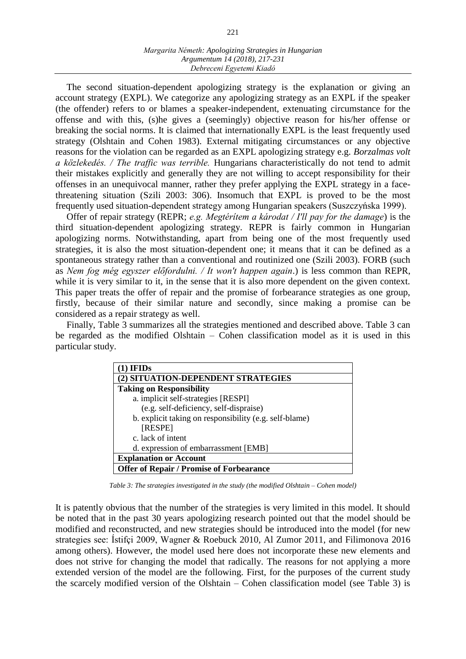The second situation-dependent apologizing strategy is the explanation or giving an account strategy (EXPL). We categorize any apologizing strategy as an EXPL if the speaker (the offender) refers to or blames a speaker-independent, extenuating circumstance for the offense and with this, (s)he gives a (seemingly) objective reason for his/her offense or breaking the social norms. It is claimed that internationally EXPL is the least frequently used strategy (Olshtain and Cohen 1983). External mitigating circumstances or any objective reasons for the violation can be regarded as an EXPL apologizing strategy e.g. *Borzalmas volt a közlekedés. / The traffic was terrible.* Hungarians characteristically do not tend to admit their mistakes explicitly and generally they are not willing to accept responsibility for their offenses in an unequivocal manner, rather they prefer applying the EXPL strategy in a facethreatening situation (Szili 2003: 306). Insomuch that EXPL is proved to be the most frequently used situation-dependent strategy among Hungarian speakers (Suszczyńska 1999).

Offer of repair strategy (REPR; *e.g. Megtérítem a károdat / I'll pay for the damage*) is the third situation-dependent apologizing strategy. REPR is fairly common in Hungarian apologizing norms. Notwithstanding, apart from being one of the most frequently used strategies, it is also the most situation-dependent one; it means that it can be defined as a spontaneous strategy rather than a conventional and routinized one (Szili 2003). FORB (such as *Nem fog még egyszer előfordulni. / It won't happen again*.) is less common than REPR, while it is very similar to it, in the sense that it is also more dependent on the given context. This paper treats the offer of repair and the promise of forbearance strategies as one group, firstly, because of their similar nature and secondly, since making a promise can be considered as a repair strategy as well.

Finally, Table 3 summarizes all the strategies mentioned and described above. Table 3 can be regarded as the modified Olshtain – Cohen classification model as it is used in this particular study.

| ) IFIDs                                                |  |
|--------------------------------------------------------|--|
| (2) SITUATION-DEPENDENT STRATEGIES                     |  |
| <b>Taking on Responsibility</b>                        |  |
| a. implicit self-strategies [RESPI]                    |  |
| (e.g. self-deficiency, self-dispraise)                 |  |
| b. explicit taking on responsibility (e.g. self-blame) |  |
| [RESPE]                                                |  |
| c. lack of intent                                      |  |
| d. expression of embarrassment [EMB]                   |  |
| <b>Explanation or Account</b>                          |  |
| <b>Offer of Repair / Promise of Forbearance</b>        |  |

*Table 3: The strategies investigated in the study (the modified Olshtain – Cohen model)* 

It is patently obvious that the number of the strategies is very limited in this model. It should be noted that in the past 30 years apologizing research pointed out that the model should be modified and reconstructed, and new strategies should be introduced into the model (for new strategies see: Ístifçi 2009, Wagner & Roebuck 2010, Al Zumor 2011, and Filimonova 2016 among others). However, the model used here does not incorporate these new elements and does not strive for changing the model that radically. The reasons for not applying a more extended version of the model are the following. First, for the purposes of the current study the scarcely modified version of the Olshtain – Cohen classification model (see Table 3) is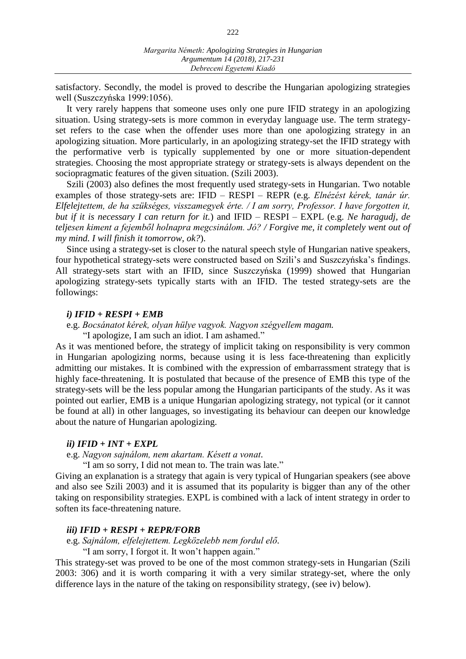satisfactory. Secondly, the model is proved to describe the Hungarian apologizing strategies well (Suszczyńska 1999:1056).

It very rarely happens that someone uses only one pure IFID strategy in an apologizing situation. Using strategy-sets is more common in everyday language use. The term strategyset refers to the case when the offender uses more than one apologizing strategy in an apologizing situation. More particularly, in an apologizing strategy-set the IFID strategy with the performative verb is typically supplemented by one or more situation-dependent strategies. Choosing the most appropriate strategy or strategy-sets is always dependent on the sociopragmatic features of the given situation. (Szili 2003).

Szili (2003) also defines the most frequently used strategy-sets in Hungarian. Two notable examples of those strategy-sets are: IFID – RESPI – REPR (e.g. *Elnézést kérek, tanár úr. Elfelejtettem, de ha szükséges, visszamegyek érte. / I am sorry, Professor. I have forgotten it, but if it is necessary I can return for it.*) and IFID – RESPI – EXPL (e.g. *Ne haragudj, de teljesen kiment a fejemből holnapra megcsinálom. Jó? / Forgive me, it completely went out of my mind. I will finish it tomorrow, ok?*).

Since using a strategy-set is closer to the natural speech style of Hungarian native speakers, four hypothetical strategy-sets were constructed based on Szili's and Suszczyńska's findings. All strategy-sets start with an IFID, since Suszczyńska (1999) showed that Hungarian apologizing strategy-sets typically starts with an IFID. The tested strategy-sets are the followings:

### *i) IFID + RESPI + EMB*

e.g. *Bocsánatot kérek, olyan hülye vagyok. Nagyon szégyellem magam.*

"I apologize, I am such an idiot. I am ashamed."

As it was mentioned before, the strategy of implicit taking on responsibility is very common in Hungarian apologizing norms, because using it is less face-threatening than explicitly admitting our mistakes. It is combined with the expression of embarrassment strategy that is highly face-threatening. It is postulated that because of the presence of EMB this type of the strategy-sets will be the less popular among the Hungarian participants of the study. As it was pointed out earlier, EMB is a unique Hungarian apologizing strategy, not typical (or it cannot be found at all) in other languages, so investigating its behaviour can deepen our knowledge about the nature of Hungarian apologizing.

### *ii) IFID + INT + EXPL*

e.g. *Nagyon sajnálom, nem akartam. Késett a vonat.*

"I am so sorry, I did not mean to. The train was late."

Giving an explanation is a strategy that again is very typical of Hungarian speakers (see above and also see Szili 2003) and it is assumed that its popularity is bigger than any of the other taking on responsibility strategies. EXPL is combined with a lack of intent strategy in order to soften its face-threatening nature.

## *iii) IFID + RESPI + REPR/FORB*

e.g. *Sajnálom, elfelejtettem. Legközelebb nem fordul elő.* 

"I am sorry, I forgot it. It won't happen again."

This strategy-set was proved to be one of the most common strategy-sets in Hungarian (Szili 2003: 306) and it is worth comparing it with a very similar strategy-set, where the only difference lays in the nature of the taking on responsibility strategy, (see iv) below).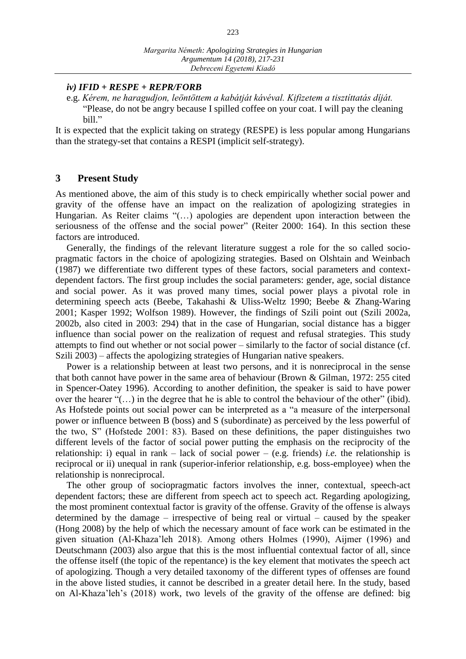*iv) IFID + RESPE + REPR/FORB*

e.g. *Kérem, ne haragudjon, leöntöttem a kabátját kávéval. Kifizetem a tisztíttatás díját.* "Please, do not be angry because I spilled coffee on your coat. I will pay the cleaning bill."

It is expected that the explicit taking on strategy (RESPE) is less popular among Hungarians than the strategy-set that contains a RESPI (implicit self-strategy).

# **3 Present Study**

As mentioned above, the aim of this study is to check empirically whether social power and gravity of the offense have an impact on the realization of apologizing strategies in Hungarian. As Reiter claims "(…) apologies are dependent upon interaction between the seriousness of the offense and the social power" (Reiter 2000: 164). In this section these factors are introduced.

Generally, the findings of the relevant literature suggest a role for the so called sociopragmatic factors in the choice of apologizing strategies. Based on Olshtain and Weinbach (1987) we differentiate two different types of these factors, social parameters and contextdependent factors. The first group includes the social parameters: gender, age, social distance and social power. As it was proved many times, social power plays a pivotal role in determining speech acts (Beebe, Takahashi & Uliss-Weltz 1990; Beebe & Zhang-Waring 2001; Kasper 1992; Wolfson 1989). However, the findings of Szili point out (Szili 2002a, 2002b, also cited in 2003: 294) that in the case of Hungarian, social distance has a bigger influence than social power on the realization of request and refusal strategies. This study attempts to find out whether or not social power – similarly to the factor of social distance (cf. Szili 2003) – affects the apologizing strategies of Hungarian native speakers.

Power is a relationship between at least two persons, and it is nonreciprocal in the sense that both cannot have power in the same area of behaviour (Brown & Gilman, 1972: 255 cited in Spencer-Oatey 1996). According to another definition, the speaker is said to have power over the hearer "(…) in the degree that he is able to control the behaviour of the other" (ibid). As Hofstede points out social power can be interpreted as a "a measure of the interpersonal power or influence between B (boss) and S (subordinate) as perceived by the less powerful of the two, S" (Hofstede 2001: 83). Based on these definitions, the paper distinguishes two different levels of the factor of social power putting the emphasis on the reciprocity of the relationship: i) equal in rank – lack of social power – (e.g. friends) *i.e.* the relationship is reciprocal or ii) unequal in rank (superior-inferior relationship, e.g. boss-employee) when the relationship is nonreciprocal.

The other group of sociopragmatic factors involves the inner, contextual, speech-act dependent factors; these are different from speech act to speech act. Regarding apologizing, the most prominent contextual factor is gravity of the offense. Gravity of the offense is always determined by the damage – irrespective of being real or virtual – caused by the speaker (Hong 2008) by the help of which the necessary amount of face work can be estimated in the given situation (Al-Khaza'leh 2018). Among others Holmes (1990), Aijmer (1996) and Deutschmann (2003) also argue that this is the most influential contextual factor of all, since the offense itself (the topic of the repentance) is the key element that motivates the speech act of apologizing. Though a very detailed taxonomy of the different types of offenses are found in the above listed studies, it cannot be described in a greater detail here. In the study, based on Al-Khaza'leh's (2018) work, two levels of the gravity of the offense are defined: big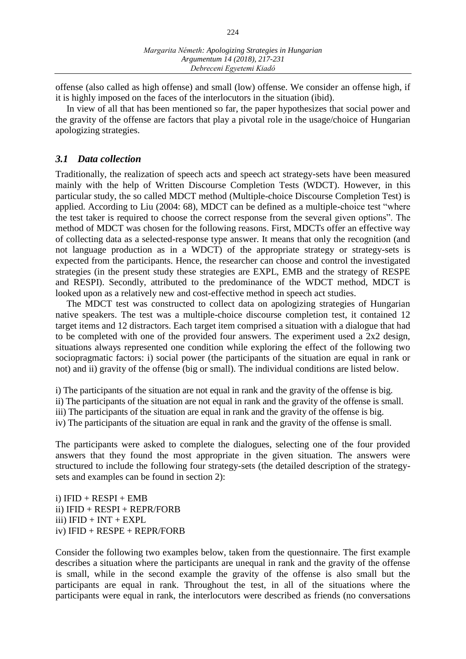offense (also called as high offense) and small (low) offense. We consider an offense high, if it is highly imposed on the faces of the interlocutors in the situation (ibid).

In view of all that has been mentioned so far, the paper hypothesizes that social power and the gravity of the offense are factors that play a pivotal role in the usage/choice of Hungarian apologizing strategies.

# *3.1 Data collection*

Traditionally, the realization of speech acts and speech act strategy-sets have been measured mainly with the help of Written Discourse Completion Tests (WDCT). However, in this particular study, the so called MDCT method (Multiple-choice Discourse Completion Test) is applied. According to Liu (2004: 68), MDCT can be defined as a multiple-choice test "where the test taker is required to choose the correct response from the several given options". The method of MDCT was chosen for the following reasons. First, MDCTs offer an effective way of collecting data as a selected-response type answer. It means that only the recognition (and not language production as in a WDCT) of the appropriate strategy or strategy-sets is expected from the participants. Hence, the researcher can choose and control the investigated strategies (in the present study these strategies are EXPL, EMB and the strategy of RESPE and RESPI). Secondly, attributed to the predominance of the WDCT method, MDCT is looked upon as a relatively new and cost-effective method in speech act studies.

The MDCT test was constructed to collect data on apologizing strategies of Hungarian native speakers. The test was a multiple-choice discourse completion test, it contained 12 target items and 12 distractors. Each target item comprised a situation with a dialogue that had to be completed with one of the provided four answers. The experiment used a 2x2 design, situations always represented one condition while exploring the effect of the following two sociopragmatic factors: i) social power (the participants of the situation are equal in rank or not) and ii) gravity of the offense (big or small). The individual conditions are listed below.

i) The participants of the situation are not equal in rank and the gravity of the offense is big. ii) The participants of the situation are not equal in rank and the gravity of the offense is small. iii) The participants of the situation are equal in rank and the gravity of the offense is big.

iv) The participants of the situation are equal in rank and the gravity of the offense is small.

The participants were asked to complete the dialogues, selecting one of the four provided answers that they found the most appropriate in the given situation. The answers were structured to include the following four strategy-sets (the detailed description of the strategysets and examples can be found in section 2):

i)  $IFID + RESPI + EMB$ ii) IFID + RESPI + REPR/FORB iii)  $IFID + INT + EXPL$ iv) IFID + RESPE + REPR/FORB

Consider the following two examples below, taken from the questionnaire. The first example describes a situation where the participants are unequal in rank and the gravity of the offense is small, while in the second example the gravity of the offense is also small but the participants are equal in rank. Throughout the test, in all of the situations where the participants were equal in rank, the interlocutors were described as friends (no conversations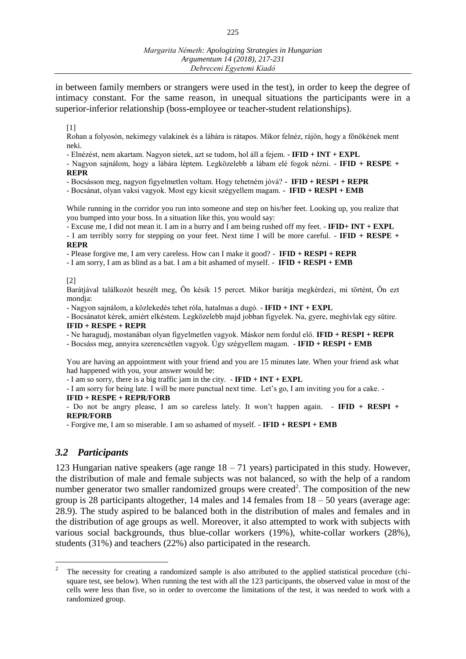in between family members or strangers were used in the test), in order to keep the degree of intimacy constant. For the same reason, in unequal situations the participants were in a superior-inferior relationship (boss-employee or teacher-student relationships).

#### [1]

Rohan a folyosón, nekimegy valakinek és a lábára is rátapos. Mikor felnéz, rájön, hogy a főnökének ment neki.

- Elnézést, nem akartam. Nagyon sietek, azt se tudom, hol áll a fejem. **- IFID + INT + EXPL**

- Nagyon sajnálom, hogy a lábára léptem. Legközelebb a lábam elé fogok nézni. **- IFID + RESPE + REPR**

- Bocsásson meg, nagyon figyelmetlen voltam. Hogy tehetném jóvá? **- IFID + RESPI + REPR**

- Bocsánat, olyan vaksi vagyok. Most egy kicsit szégyellem magam. **- IFID + RESPI + EMB**

While running in the corridor you run into someone and step on his/her feet. Looking up, you realize that you bumped into your boss. In a situation like this, you would say:

- Excuse me, I did not mean it. I am in a hurry and I am being rushed off my feet. - **IFID+ INT + EXPL**

- I am terribly sorry for stepping on your feet. Next time I will be more careful. - **IFID + RESPE + REPR**

- Please forgive me, I am very careless. How can I make it good? - **IFID + RESPI + REPR**

- I am sorry, I am as blind as a bat. I am a bit ashamed of myself. - **IFID + RESPI + EMB**

[2]

Barátjával találkozót beszélt meg, Ön késik 15 percet. Mikor barátja megkérdezi, mi történt, Ön ezt mondja:

- Nagyon sajnálom, a közlekedés tehet róla, hatalmas a dugó. - **IFID + INT + EXPL**

- Bocsánatot kérek, amiért elkéstem. Legközelebb majd jobban figyelek. Na, gyere, meghívlak egy sütire. **IFID + RESPE + REPR**

- Ne haragudj, mostanában olyan figyelmetlen vagyok. Máskor nem fordul elő. **IFID + RESPI + REPR**

- Bocsáss meg, annyira szerencsétlen vagyok. Úgy szégyellem magam. - **IFID + RESPI + EMB**

You are having an appointment with your friend and you are 15 minutes late. When your friend ask what had happened with you, your answer would be:

- I am so sorry, there is a big traffic jam in the city. - **IFID + INT + EXPL**

- I am sorry for being late. I will be more punctual next time. Let's go, I am inviting you for a cake. -

## **IFID + RESPE + REPR/FORB**

- Do not be angry please, I am so careless lately. It won't happen again. - **IFID + RESPI + REPR/FORB**

- Forgive me, I am so miserable. I am so ashamed of myself. - **IFID + RESPI + EMB**

## *3.2 Participants*

 $\overline{a}$ 

123 Hungarian native speakers (age range  $18 - 71$  years) participated in this study. However, the distribution of male and female subjects was not balanced, so with the help of a random number generator two smaller randomized groups were created<sup>2</sup>. The composition of the new group is 28 participants altogether, 14 males and 14 females from 18 – 50 years (average age: 28.9). The study aspired to be balanced both in the distribution of males and females and in the distribution of age groups as well. Moreover, it also attempted to work with subjects with various social backgrounds, thus blue-collar workers (19%), white-collar workers (28%), students (31%) and teachers (22%) also participated in the research.

<sup>2</sup> The necessity for creating a randomized sample is also attributed to the applied statistical procedure (chisquare test, see below). When running the test with all the 123 participants, the observed value in most of the cells were less than five, so in order to overcome the limitations of the test, it was needed to work with a randomized group.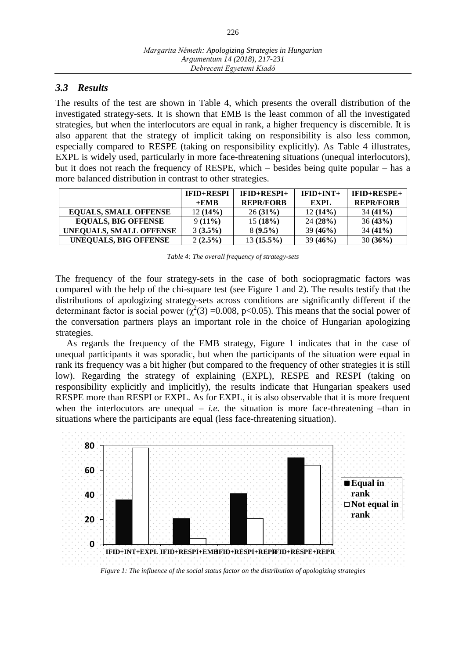# *3.3 Results*

The results of the test are shown in Table 4, which presents the overall distribution of the investigated strategy-sets. It is shown that EMB is the least common of all the investigated strategies, but when the interlocutors are equal in rank, a higher frequency is discernible. It is also apparent that the strategy of implicit taking on responsibility is also less common, especially compared to RESPE (taking on responsibility explicitly). As Table 4 illustrates, EXPL is widely used, particularly in more face-threatening situations (unequal interlocutors), but it does not reach the frequency of RESPE, which – besides being quite popular – has a more balanced distribution in contrast to other strategies.

|                              | <b>IFID+RESPI</b> | $IFID+RESPI+$    | $IFID+INT+$ | $IFID+RESPE+$    |
|------------------------------|-------------------|------------------|-------------|------------------|
|                              | $+EMB$            | <b>REPR/FORB</b> | EXPL        | <b>REPR/FORB</b> |
| <b>EQUALS, SMALL OFFENSE</b> | 12(14%)           | $26(31\%)$       | 12(14%)     | $34(41\%)$       |
| <b>EQUALS, BIG OFFENSE</b>   | $9(11\%)$         | 15(18%)          | 24(28%)     | 36(43%)          |
| UNEQUALS, SMALL OFFENSE      | 3(3.5%)           | $8(9.5\%)$       | 39(46%)     | $34(41\%)$       |
| UNEQUALS, BIG OFFENSE        | $2(2.5\%)$        | $13(15.5\%)$     | 39(46%)     | 30(36%)          |

| Table 4: The overall frequency of strategy-sets |  |  |
|-------------------------------------------------|--|--|
|-------------------------------------------------|--|--|

The frequency of the four strategy-sets in the case of both sociopragmatic factors was compared with the help of the chi-square test (see Figure 1 and 2). The results testify that the distributions of apologizing strategy-sets across conditions are significantly different if the determinant factor is social power  $(\chi^2(3) = 0.008, p < 0.05)$ . This means that the social power of the conversation partners plays an important role in the choice of Hungarian apologizing strategies.

As regards the frequency of the EMB strategy, Figure 1 indicates that in the case of unequal participants it was sporadic, but when the participants of the situation were equal in rank its frequency was a bit higher (but compared to the frequency of other strategies it is still low). Regarding the strategy of explaining (EXPL), RESPE and RESPI (taking on responsibility explicitly and implicitly), the results indicate that Hungarian speakers used RESPE more than RESPI or EXPL. As for EXPL, it is also observable that it is more frequent when the interlocutors are unequal  $-$  *i.e.* the situation is more face-threatening  $-\text{than in}$ situations where the participants are equal (less face-threatening situation).



*Figure 1: The influence of the social status factor on the distribution of apologizing strategies*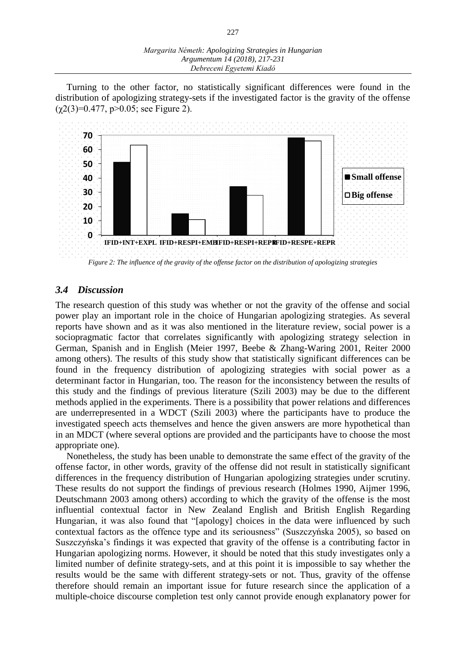Turning to the other factor, no statistically significant differences were found in the distribution of apologizing strategy-sets if the investigated factor is the gravity of the offense  $(\gamma 2(3)=0.477, p>0.05$ ; see Figure 2).



# *Figure 2: The influence of the gravity of the offense factor on the distribution of apologizing strategies*

# *3.4 Discussion*

The research question of this study was whether or not the gravity of the offense and social power play an important role in the choice of Hungarian apologizing strategies. As several reports have shown and as it was also mentioned in the literature review, social power is a sociopragmatic factor that correlates significantly with apologizing strategy selection in German, Spanish and in English (Meier 1997, Beebe & Zhang-Waring 2001, Reiter 2000 among others). The results of this study show that statistically significant differences can be found in the frequency distribution of apologizing strategies with social power as a determinant factor in Hungarian, too. The reason for the inconsistency between the results of this study and the findings of previous literature (Szili 2003) may be due to the different methods applied in the experiments. There is a possibility that power relations and differences are underrepresented in a WDCT (Szili 2003) where the participants have to produce the investigated speech acts themselves and hence the given answers are more hypothetical than in an MDCT (where several options are provided and the participants have to choose the most appropriate one).

Nonetheless, the study has been unable to demonstrate the same effect of the gravity of the offense factor, in other words, gravity of the offense did not result in statistically significant differences in the frequency distribution of Hungarian apologizing strategies under scrutiny. These results do not support the findings of previous research (Holmes 1990, Aijmer 1996, Deutschmann 2003 among others) according to which the gravity of the offense is the most influential contextual factor in New Zealand English and British English Regarding Hungarian, it was also found that "[apology] choices in the data were influenced by such contextual factors as the offence type and its seriousness" (Suszczyńska 2005), so based on Suszczyńska's findings it was expected that gravity of the offense is a contributing factor in Hungarian apologizing norms. However, it should be noted that this study investigates only a limited number of definite strategy-sets, and at this point it is impossible to say whether the results would be the same with different strategy-sets or not. Thus, gravity of the offense therefore should remain an important issue for future research since the application of a multiple-choice discourse completion test only cannot provide enough explanatory power for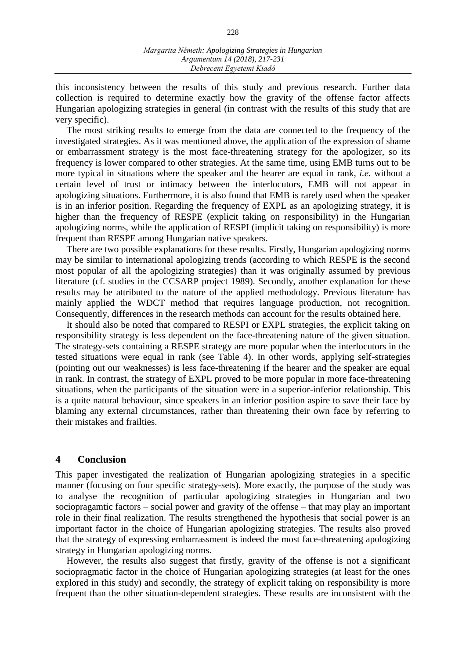this inconsistency between the results of this study and previous research. Further data collection is required to determine exactly how the gravity of the offense factor affects Hungarian apologizing strategies in general (in contrast with the results of this study that are very specific).

The most striking results to emerge from the data are connected to the frequency of the investigated strategies. As it was mentioned above, the application of the expression of shame or embarrassment strategy is the most face-threatening strategy for the apologizer, so its frequency is lower compared to other strategies. At the same time, using EMB turns out to be more typical in situations where the speaker and the hearer are equal in rank, *i.e.* without a certain level of trust or intimacy between the interlocutors, EMB will not appear in apologizing situations. Furthermore, it is also found that EMB is rarely used when the speaker is in an inferior position. Regarding the frequency of EXPL as an apologizing strategy, it is higher than the frequency of RESPE (explicit taking on responsibility) in the Hungarian apologizing norms, while the application of RESPI (implicit taking on responsibility) is more frequent than RESPE among Hungarian native speakers.

There are two possible explanations for these results. Firstly, Hungarian apologizing norms may be similar to international apologizing trends (according to which RESPE is the second most popular of all the apologizing strategies) than it was originally assumed by previous literature (cf. studies in the CCSARP project 1989). Secondly, another explanation for these results may be attributed to the nature of the applied methodology. Previous literature has mainly applied the WDCT method that requires language production, not recognition. Consequently, differences in the research methods can account for the results obtained here.

It should also be noted that compared to RESPI or EXPL strategies, the explicit taking on responsibility strategy is less dependent on the face-threatening nature of the given situation. The strategy-sets containing a RESPE strategy are more popular when the interlocutors in the tested situations were equal in rank (see Table 4). In other words, applying self-strategies (pointing out our weaknesses) is less face-threatening if the hearer and the speaker are equal in rank. In contrast, the strategy of EXPL proved to be more popular in more face-threatening situations, when the participants of the situation were in a superior-inferior relationship. This is a quite natural behaviour, since speakers in an inferior position aspire to save their face by blaming any external circumstances, rather than threatening their own face by referring to their mistakes and frailties.

# **4 Conclusion**

This paper investigated the realization of Hungarian apologizing strategies in a specific manner (focusing on four specific strategy-sets). More exactly, the purpose of the study was to analyse the recognition of particular apologizing strategies in Hungarian and two sociopragamtic factors – social power and gravity of the offense – that may play an important role in their final realization. The results strengthened the hypothesis that social power is an important factor in the choice of Hungarian apologizing strategies. The results also proved that the strategy of expressing embarrassment is indeed the most face-threatening apologizing strategy in Hungarian apologizing norms.

However, the results also suggest that firstly, gravity of the offense is not a significant sociopragmatic factor in the choice of Hungarian apologizing strategies (at least for the ones explored in this study) and secondly, the strategy of explicit taking on responsibility is more frequent than the other situation-dependent strategies. These results are inconsistent with the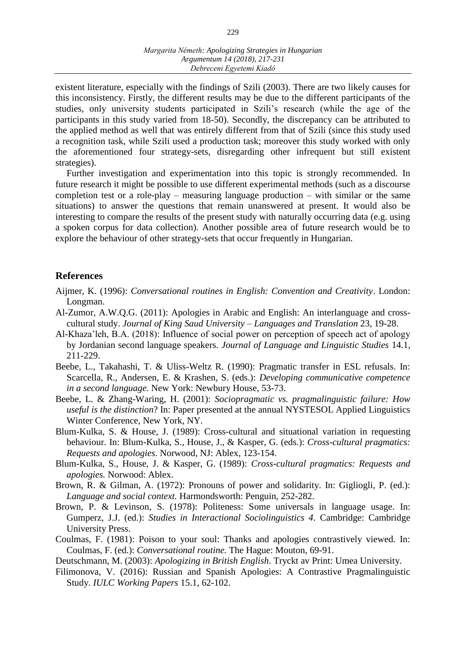existent literature, especially with the findings of Szili (2003). There are two likely causes for this inconsistency. Firstly, the different results may be due to the different participants of the studies, only university students participated in Szili's research (while the age of the participants in this study varied from 18-50). Secondly, the discrepancy can be attributed to the applied method as well that was entirely different from that of Szili (since this study used a recognition task, while Szili used a production task; moreover this study worked with only the aforementioned four strategy-sets, disregarding other infrequent but still existent strategies).

Further investigation and experimentation into this topic is strongly recommended. In future research it might be possible to use different experimental methods (such as a discourse completion test or a role-play – measuring language production – with similar or the same situations) to answer the questions that remain unanswered at present. It would also be interesting to compare the results of the present study with naturally occurring data (e.g. using a spoken corpus for data collection). Another possible area of future research would be to explore the behaviour of other strategy-sets that occur frequently in Hungarian.

## **References**

- Aijmer, K. (1996): *Conversational routines in English: Convention and Creativity*. London: Longman.
- Al-Zumor, A.W.Q.G. (2011): Apologies in Arabic and English: An interlanguage and crosscultural study. *Journal of King Saud University – Languages and Translation* 23, 19-28.
- Al-Khaza'leh, B.A. (2018): Influence of social power on perception of speech act of apology by Jordanian second language speakers. *Journal of Language and Linguistic Studies* 14.1, 211-229.
- Beebe, L., Takahashi, T. & Uliss-Weltz R. (1990): Pragmatic transfer in ESL refusals. In: Scarcella, R., Andersen, E. & Krashen, S. (eds.): *Developing communicative competence in a second language.* New York: Newbury House, 53-73.
- Beebe, L. & Zhang-Waring, H. (2001): *Sociopragmatic vs. pragmalinguistic failure: How useful is the distinction*? In: Paper presented at the annual NYSTESOL Applied Linguistics Winter Conference, New York, NY.
- Blum-Kulka, S. & House, J. (1989): Cross-cultural and situational variation in requesting behaviour. In: Blum-Kulka, S., House, J., & Kasper, G. (eds.): *Cross-cultural pragmatics: Requests and apologies*. Norwood, NJ: Ablex, 123-154.
- Blum-Kulka, S., House, J. & Kasper, G. (1989): *Cross-cultural pragmatics: Requests and apologies.* Norwood: Ablex.
- Brown, R. & Gilman, A. (1972): Pronouns of power and solidarity. In: Gigliogli, P. (ed.): *Language and social context.* Harmondsworth: Penguin, 252-282.
- Brown, P. & Levinson, S. (1978): Politeness: Some universals in language usage. In: Gumperz, J.J. (ed.): *Studies in Interactional Sociolinguistics 4*. Cambridge: Cambridge University Press.
- Coulmas, F. (1981): Poison to your soul: Thanks and apologies contrastively viewed. In: Coulmas, F. (ed.): *Conversational routine.* The Hague: Mouton, 69-91.
- Deutschmann, M. (2003): *Apologizing in British English*. Tryckt av Print: Umea University.
- Filimonova, V. (2016): Russian and Spanish Apologies: A Contrastive Pragmalinguistic Study. *IULC Working Papers* 15.1, 62-102.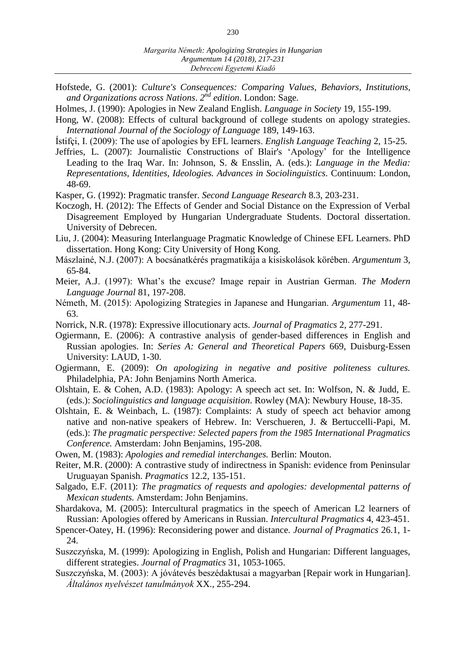- Hofstede, G. (2001): *Culture's Consequences: Comparing Values, Behaviors, Institutions, and Organizations across Nations*. *2 nd edition*. London: Sage.
- Holmes, J. (1990): Apologies in New Zealand English. *Language in Society* 19, 155-199.
- Hong, W. (2008): Effects of cultural background of college students on apology strategies. *International Journal of the Sociology of Language* 189, 149-163.
- Ístifçi, I. (2009): The use of apologies by EFL learners. *English Language Teaching* 2, 15-25.
- Jeffries, L. (2007): Journalistic Constructions of Blair's 'Apology' for the Intelligence Leading to the Iraq War. In: Johnson, S. & Ensslin, A. (eds.): *Language in the Media: Representations, Identities, Ideologies. Advances in Sociolinguistics.* Continuum: London, 48-69.
- Kasper, G. (1992): Pragmatic transfer. *Second Language Research* 8.3, 203-231.
- Koczogh, H. (2012): The Effects of Gender and Social Distance on the Expression of Verbal Disagreement Employed by Hungarian Undergraduate Students. Doctoral dissertation. University of Debrecen.
- Liu, J. (2004): Measuring Interlanguage Pragmatic Knowledge of Chinese EFL Learners. PhD dissertation. Hong Kong: City University of Hong Kong.
- Mászlainé, N.J. (2007): A bocsánatkérés pragmatikája a kisiskolások körében. *Argumentum* 3, 65-84.
- Meier, A.J. (1997): What's the excuse? Image repair in Austrian German. *The Modern Language Journal* 81, 197-208.
- Németh, M. (2015): Apologizing Strategies in Japanese and Hungarian. *Argumentum* 11, 48- 63.
- Norrick, N.R. (1978): Expressive illocutionary acts. *Journal of Pragmatics* 2, 277-291.
- Ogiermann, E. (2006): A contrastive analysis of gender-based differences in English and Russian apologies. In: *Series A: General and Theoretical Papers* 669, Duisburg-Essen University: LAUD, 1-30.
- Ogiermann, E. (2009): *On apologizing in negative and positive politeness cultures.* Philadelphia, PA: John Benjamins North America.
- Olshtain, E. & Cohen, A.D. (1983): Apology: A speech act set. In: Wolfson, N. & Judd, E. (eds.): *Sociolinguistics and language acquisition*. Rowley (MA): Newbury House, 18-35.
- Olshtain, E. & Weinbach, L. (1987): Complaints: A study of speech act behavior among native and non-native speakers of Hebrew. In: Verschueren, J. & Bertuccelli-Papi, M. (eds.): *The pragmatic perspective: Selected papers from the 1985 International Pragmatics Conference.* Amsterdam: John Benjamins, 195-208.
- Owen, M. (1983): *Apologies and remedial interchanges.* Berlin: Mouton.
- Reiter, M.R. (2000): A contrastive study of indirectness in Spanish: evidence from Peninsular Uruguayan Spanish. *Pragmatics* 12.2, 135-151.
- Salgado, E.F. (2011): *The pragmatics of requests and apologies: developmental patterns of Mexican students.* Amsterdam: John Benjamins.
- Shardakova, M. (2005): Intercultural pragmatics in the speech of American L2 learners of Russian: Apologies offered by Americans in Russian. *Intercultural Pragmatics* 4, 423-451.
- Spencer-Oatey, H. (1996): Reconsidering power and distance. *Journal of Pragmatics* 26.1, 1- 24.
- Suszczyńska, M. (1999): Apologizing in English, Polish and Hungarian: Different languages, different strategies. *Journal of Pragmatics* 31, 1053-1065.
- Suszczyńska, M. (2003): A jóvátevés beszédaktusai a magyarban [Repair work in Hungarian]. *Általános nyelvészet tanulmányok* XX., 255-294.